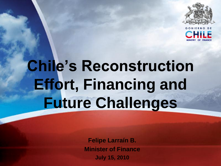

**MINISTRY OF FINANCE**

# **Chile's Reconstruction Effort, Financing and Future Challenges**

**Felipe Larraín B. Minister of Finance July 15, 2010**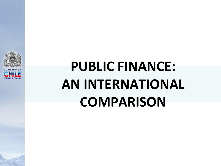

## **PUBLIC FINANCE: AN INTERNATIONAL COMPARISON**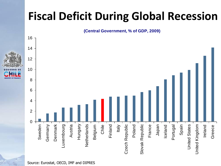### **Fiscal Deficit During Global Recession**

**(Central Government, % of GDP, 2009)**

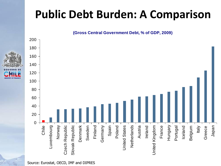### **Public Debt Burden: A Comparison**

#### **(Gross Central Government Debt, % of GDP, 2009)**





**MINISTRY OF FINANCE**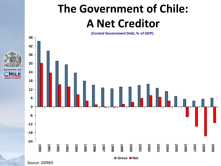### **The Government of Chile: A Net Creditor**

**(Central Government Debt, % of GDP)**



Source: DIPRES

**MINISTRY OF FINANCE**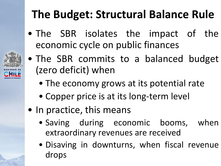### **The Budget: Structural Balance Rule**

• The SBR isolates the impact of the economic cycle on public finances



- The SBR commits to a balanced budget (zero deficit) when
	- The economy grows at its potential rate
	- Copper price is at its long-term level
- In practice, this means
	- Saving during economic booms, when extraordinary revenues are received
	- Disaving in downturns, when fiscal revenue drops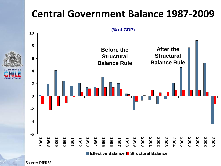#### **Central Government Balance 1987-2009**



Source: DIPRES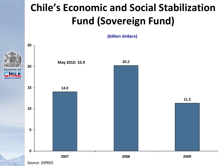### **Chile's Economic and Social Stabilization Fund (Sovereign Fund)**

**(billion dollars)**

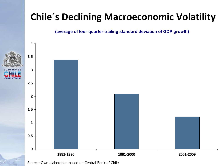#### **Chile´s Declining Macroeconomic Volatility**

**(average of four-quarter trailing standard deviation of GDP growth)**



Source: Own elaboration based on Central Bank of Chile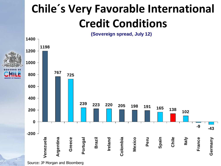### **Chile´s Very Favorable International Credit Conditions**

**(Sovereign spread, July 12)**



Source: JP Morgan and Bloomberg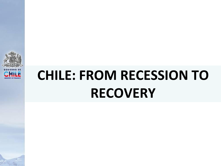

## **CHILE: FROM RECESSION TO RECOVERY**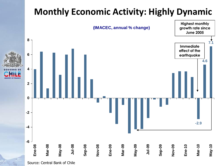#### **Monthly Economic Activity: Highly Dynamic**



Source: Central Bank of Chile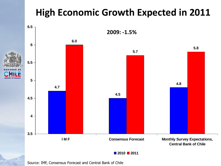#### **High Economic Growth Expected in 2011**



Source: IMF, Consensus Forecast and Central Bank of Chile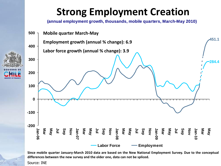#### **Strong Employment Creation**

**(annual employment growth, thousands, mobile quarters, March-May 2010)**



Since mobile quarter January-March 2010 data are based on the New National Employment Survey. Due to the conceptual **differences between the new survey and the older one, data can not be spliced.**

Source: INE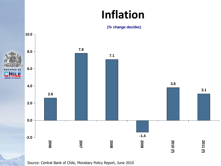### **Inflation**





Source: Central Bank of Chile, Monetary Policy Report, June 2010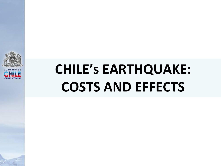

## **CHILE's EARTHQUAKE: COSTS AND EFFECTS**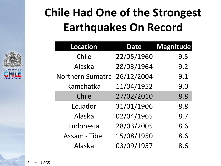### **Chile Had One of the Strongest Earthquakes On Record**

| Location                | <b>Date</b> | Magnitude |
|-------------------------|-------------|-----------|
| Chile                   | 22/05/1960  | 9.5       |
| Alaska                  | 28/03/1964  | 9.2       |
| <b>Northern Sumatra</b> | 26/12/2004  | 9.1       |
| Kamchatka               | 11/04/1952  | 9.0       |
| Chile                   | 27/02/2010  | 8.8       |
| Ecuador                 | 31/01/1906  | 8.8       |
| Alaska                  | 02/04/1965  | 8.7       |
| Indonesia               | 28/03/2005  | 8.6       |
| <b>Assam - Tibet</b>    | 15/08/1950  | 8.6       |
| Alaska                  | 03/09/1957  | 8.6       |

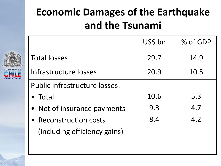### **Economic Damages of the Earthquake and the Tsunami**



|                               | US\$ bn | % of GDP |
|-------------------------------|---------|----------|
| <b>Total losses</b>           | 29.7    | 14.9     |
| Infrastructure losses         | 20.9    | 10.5     |
| Public infrastructure losses: |         |          |
| $\bullet$ Total               | 10.6    | 5.3      |
| • Net of insurance payments   | 9.3     | 4.7      |
| • Reconstruction costs        | 8.4     | 4.2      |
| (including efficiency gains)  |         |          |
|                               |         |          |
|                               |         |          |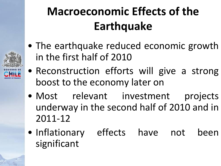## **Macroeconomic Effects of the Earthquake**

- The earthquake reduced economic growth in the first half of 2010
- **MINISTRY OF FINANCE**
- Reconstruction efforts will give a strong boost to the economy later on
- Most relevant investment projects underway in the second half of 2010 and in 2011-12
- Inflationary effects have not been significant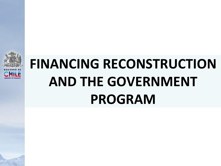

## **FINANCING RECONSTRUCTION AND THE GOVERNMENT PROGRAM**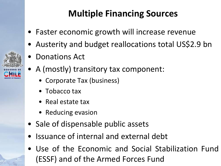#### **Multiple Financing Sources**

- Faster economic growth will increase revenue
- Austerity and budget reallocations total US\$2.9 bn
- Donations Act
- A (mostly) transitory tax component:
	- Corporate Tax (business)
	- Tobacco tax
	- Real estate tax
	- Reducing evasion
- Sale of dispensable public assets
- Issuance of internal and external debt
- Use of the Economic and Social Stabilization Fund (ESSF) and of the Armed Forces Fund

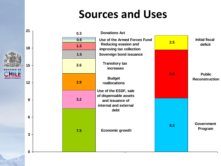### **Sources and Uses**

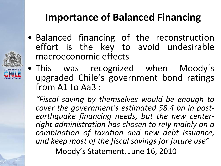#### **Importance of Balanced Financing**

- Balanced financing of the reconstruction effort is the key to avoid undesirable macroeconomic effects
- This was recognized when Moody´s upgraded Chile's government bond ratings from A1 to Aa3 :

**MINISTRY OF FINANCE**

*"Fiscal saving by themselves would be enough to cover the government's estimated \$8.4 bn in postearthquake financing needs, but the new centerright administration has chosen to rely mainly on a combination of taxation and new debt issuance, and keep most of the fiscal savings for future use"* Moody's Statement, June 16, 2010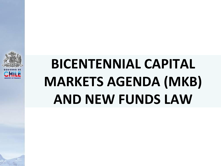

## **BICENTENNIAL CAPITAL MARKETS AGENDA (MKB) AND NEW FUNDS LAW**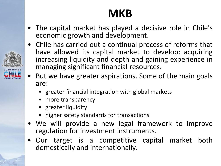### **MKB**

- The capital market has played a decisive role in Chile's economic growth and development.
- Chile has carried out a continual process of reforms that have allowed its capital market to develop: acquiring increasing liquidity and depth and gaining experience in managing significant financial resources.
- But we have greater aspirations. Some of the main goals are:
	- greater financial integration with global markets
	- more transparency
	- greater liquidity
	- higher safety standards for transactions
- We will provide a new legal framework to improve regulation for investment instruments.
- Our target is a competitive capital market both domestically and internationally.

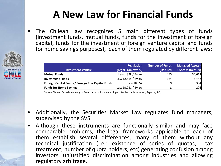#### **A New Law for Financial Funds**

• The Chilean law recognizes 5 main different types of funds (investment funds, mutual funds, funds for the investment of foreign capital, funds for the investment of foreign venture capital and funds for home savings purposes), each of them regulated by different laws:

|                                                    | Regulation         | <b>Number of Funds</b> | <b>Managed Assets -</b> |
|----------------------------------------------------|--------------------|------------------------|-------------------------|
| <b>Investment Vehicle</b>                          | (Legal Framework)  | (Dec' 09)              | US\$MM (Dec' 09)        |
| <b>Mutual Funds</b>                                | Law 1.328 / Bylaw  | 455                    | 34,613                  |
| <b>Investment Funds</b>                            | Law 18.815 / Bylaw | 164                    | 6,442                   |
| Foreign Capital Funds / Foreign Risk Capital Funds | Law 18.657         | 9                      | 384                     |
| <b>Funds for Home Savings</b>                      | Law 19.281 / Bylaw | 8                      | 226                     |

Source: Chilean Superintendency of Securities and Insurance (Superintendencia de Valores y Seguros, SVS)

- Additionally, the Securities Market Law regulates fund managers, supervised by the SVS.
- Although these instruments are functionally similar and may face comparable problems, the legal frameworks applicable to each of them establish several differences, many of them without any technical justification (i.e.: existence of series of quotas, tax treatment, number of quota holders, etc) generating confusion among investors, unjustified discrimination among industries and allowing regulatory arbitrage.

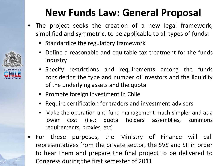#### **New Funds Law: General Proposal**

- The project seeks the creation of a new legal framework, simplified and symmetric, to be applicable to all types of funds:
	- Standardize the regulatory framework
	- Define a reasonable and equitable tax treatment for the funds industry
	- Specify restrictions and requirements among the funds considering the type and number of investors and the liquidity of the underlying assets and the quota
	- Promote foreign investment in Chile
	- Require certification for traders and investment advisers
	- Make the operation and fund management much simpler and at a lower cost (i.e.: quota holders assemblies, summons requirements, proxies, etc)
- For these purposes, the Ministry of Finance will call representatives from the private sector, the SVS and SII in order to hear them and prepare the final project to be delivered to Congress during the first semester of 2011

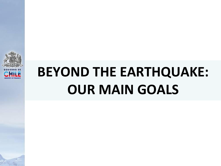

## **MINISTRY OF FINANCE BEYOND THE EARTHQUAKE: OUR MAIN GOALS**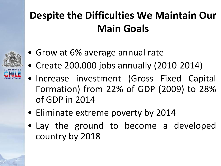### **Despite the Difficulties We Maintain Our Main Goals**



- Grow at 6% average annual rate
- Create 200.000 jobs annually (2010-2014)
- Increase investment (Gross Fixed Capital Formation) from 22% of GDP (2009) to 28% of GDP in 2014
- Eliminate extreme poverty by 2014
- Lay the ground to become a developed country by 2018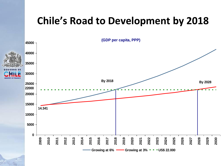#### **Chile's Road to Development by 2018**